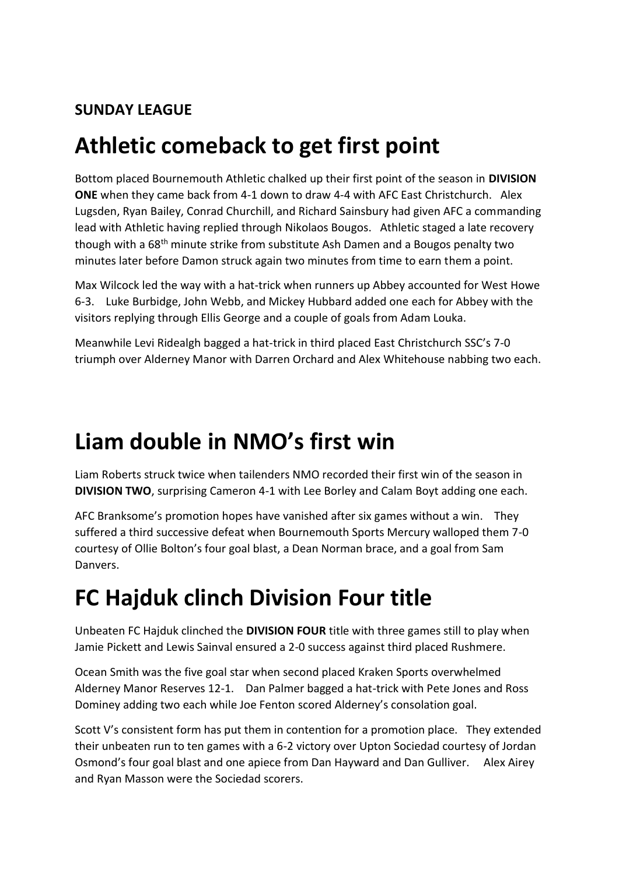#### **SUNDAY LEAGUE**

### **Athletic comeback to get first point**

Bottom placed Bournemouth Athletic chalked up their first point of the season in **DIVISION ONE** when they came back from 4-1 down to draw 4-4 with AFC East Christchurch. Alex Lugsden, Ryan Bailey, Conrad Churchill, and Richard Sainsbury had given AFC a commanding lead with Athletic having replied through Nikolaos Bougos. Athletic staged a late recovery though with a 68<sup>th</sup> minute strike from substitute Ash Damen and a Bougos penalty two minutes later before Damon struck again two minutes from time to earn them a point.

Max Wilcock led the way with a hat-trick when runners up Abbey accounted for West Howe 6-3. Luke Burbidge, John Webb, and Mickey Hubbard added one each for Abbey with the visitors replying through Ellis George and a couple of goals from Adam Louka.

Meanwhile Levi Ridealgh bagged a hat-trick in third placed East Christchurch SSC's 7-0 triumph over Alderney Manor with Darren Orchard and Alex Whitehouse nabbing two each.

### **Liam double in NMO's first win**

Liam Roberts struck twice when tailenders NMO recorded their first win of the season in **DIVISION TWO**, surprising Cameron 4-1 with Lee Borley and Calam Boyt adding one each.

AFC Branksome's promotion hopes have vanished after six games without a win. They suffered a third successive defeat when Bournemouth Sports Mercury walloped them 7-0 courtesy of Ollie Bolton's four goal blast, a Dean Norman brace, and a goal from Sam Danvers.

# **FC Hajduk clinch Division Four title**

Unbeaten FC Hajduk clinched the **DIVISION FOUR** title with three games still to play when Jamie Pickett and Lewis Sainval ensured a 2-0 success against third placed Rushmere.

Ocean Smith was the five goal star when second placed Kraken Sports overwhelmed Alderney Manor Reserves 12-1. Dan Palmer bagged a hat-trick with Pete Jones and Ross Dominey adding two each while Joe Fenton scored Alderney's consolation goal.

Scott V's consistent form has put them in contention for a promotion place. They extended their unbeaten run to ten games with a 6-2 victory over Upton Sociedad courtesy of Jordan Osmond's four goal blast and one apiece from Dan Hayward and Dan Gulliver. Alex Airey and Ryan Masson were the Sociedad scorers.